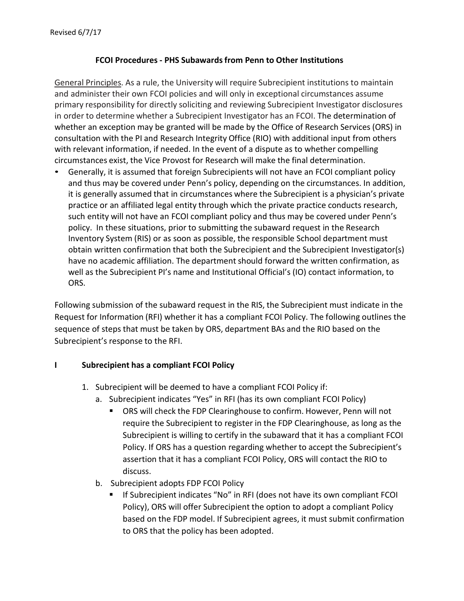## **FCOI Procedures - PHS Subawardsfrom Penn to Other Institutions**

General Principles. As a rule, the University will require Subrecipient institutions to maintain and administer their own FCOI policies and will only in exceptional circumstances assume primary responsibility for directly soliciting and reviewing Subrecipient Investigator disclosures in order to determine whether a Subrecipient Investigator has an FCOI. The determination of whether an exception may be granted will be made by the Office of Research Services (ORS) in consultation with the PI and Research Integrity Office (RIO) with additional input from others with relevant information, if needed. In the event of a dispute as to whether compelling circumstances exist, the Vice Provost for Research will make the final determination.

• Generally, it is assumed that foreign Subrecipients will not have an FCOI compliant policy and thus may be covered under Penn's policy, depending on the circumstances. In addition, it is generally assumed that in circumstances where the Subrecipient is a physician's private practice or an affiliated legal entity through which the private practice conducts research, such entity will not have an FCOI compliant policy and thus may be covered under Penn's policy. In these situations, prior to submitting the subaward request in the Research Inventory System (RIS) or as soon as possible, the responsible School department must obtain written confirmation that both the Subrecipient and the Subrecipient Investigator(s) have no academic affiliation. The department should forward the written confirmation, as well as the Subrecipient PI's name and Institutional Official's (IO) contact information, to ORS.

Following submission of the subaward request in the RIS, the Subrecipient must indicate in the Request for Information (RFI) whether it has a compliant FCOI Policy. The following outlines the sequence of steps that must be taken by ORS, department BAs and the RIO based on the Subrecipient's response to the RFI.

## **I Subrecipient has a compliant FCOI Policy**

- 1. Subrecipient will be deemed to have a compliant FCOI Policy if:
	- a. Subrecipient indicates "Yes" in RFI (has its own compliant FCOI Policy)
		- ORS will check the FDP Clearinghouse to confirm. However, Penn will not require the Subrecipient to register in the FDP Clearinghouse, as long as the Subrecipient is willing to certify in the subaward that it has a compliant FCOI Policy. If ORS has a question regarding whether to accept the Subrecipient's assertion that it has a compliant FCOI Policy, ORS will contact the RIO to discuss.
	- b. Subrecipient adopts FDP FCOI Policy
		- If Subrecipient indicates "No" in RFI (does not have its own compliant FCOI Policy), ORS will offer Subrecipient the option to adopt a compliant Policy based on the FDP model. If Subrecipient agrees, it must submit confirmation to ORS that the policy has been adopted.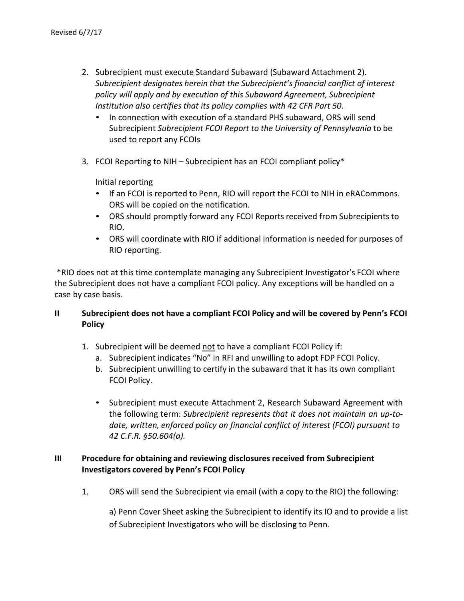- 2. Subrecipient must execute Standard Subaward (Subaward Attachment 2). *Subrecipient designates herein that the Subrecipient's financial conflict of interest policy will apply and by execution of this Subaward Agreement, Subrecipient Institution also certifies that its policy complies with 42 CFR Part 50.*
	- In connection with execution of a standard PHS subaward, ORS will send Subrecipient *Subrecipient FCOI Report to the University of Pennsylvania* to be used to report any FCOIs
- 3. FCOI Reporting to NIH Subrecipient has an FCOI compliant policy\*

Initial reporting

- If an FCOI is reported to Penn, RIO will report the FCOI to NIH in eRACommons. ORS will be copied on the notification.
- ORS should promptly forward any FCOI Reports received from Subrecipients to RIO.
- ORS will coordinate with RIO if additional information is needed for purposes of RIO reporting.

\*RIO does not at this time contemplate managing any Subrecipient Investigator's FCOI where the Subrecipient does not have a compliant FCOI policy. Any exceptions will be handled on a case by case basis.

## **II Subrecipient does not have a compliant FCOI Policy and will be covered by Penn's FCOI Policy**

- 1. Subrecipient will be deemed not to have a compliant FCOI Policy if:
	- a. Subrecipient indicates "No" in RFI and unwilling to adopt FDP FCOI Policy.
	- b. Subrecipient unwilling to certify in the subaward that it has its own compliant FCOI Policy.
	- Subrecipient must execute Attachment 2, Research Subaward Agreement with the following term: *Subrecipient represents that it does not maintain an up-todate, written, enforced policy on financial conflict of interest (FCOI) pursuant to 42 C.F.R. §50.604(a).*

## **III Procedure for obtaining and reviewing disclosures received from Subrecipient Investigators covered by Penn's FCOI Policy**

1. ORS will send the Subrecipient via email (with a copy to the RIO) the following:

a) Penn Cover Sheet asking the Subrecipient to identify its IO and to provide a list of Subrecipient Investigators who will be disclosing to Penn.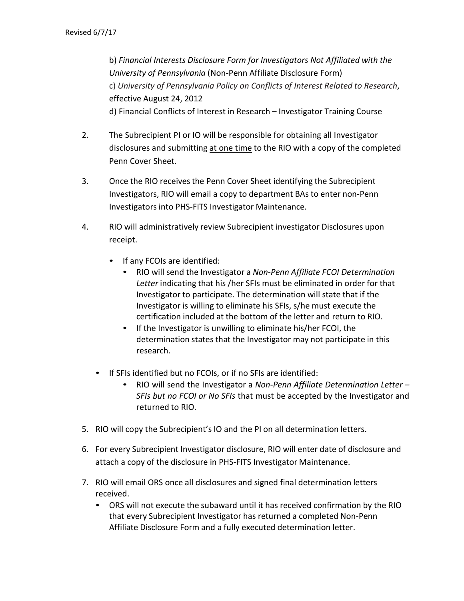b) *Financial Interests Disclosure Form for Investigators Not Affiliated with the University of Pennsylvania* (Non-Penn Affiliate Disclosure Form) c) *University of Pennsylvania Policy on Conflicts of Interest Related to Research*, effective August 24, 2012 d) Financial Conflicts of Interest in Research – Investigator Training Course

- 2. The Subrecipient PI or IO will be responsible for obtaining all Investigator disclosures and submitting at one time to the RIO with a copy of the completed Penn Cover Sheet.
- 3. Once the RIO receives the Penn Cover Sheet identifying the Subrecipient Investigators, RIO will email a copy to department BAs to enter non-Penn Investigators into PHS-FITS Investigator Maintenance.
- 4. RIO will administratively review Subrecipient investigator Disclosures upon receipt.
	- If any FCOIs are identified:
		- RIO will send the Investigator a *Non-Penn Affiliate FCOI Determination Letter* indicating that his /her SFIs must be eliminated in order for that Investigator to participate. The determination will state that if the Investigator is willing to eliminate his SFIs, s/he must execute the certification included at the bottom of the letter and return to RIO.
		- If the Investigator is unwilling to eliminate his/her FCOI, the determination states that the Investigator may not participate in this research.
	- If SFIs identified but no FCOIs, or if no SFIs are identified:
		- RIO will send the Investigator a *Non-Penn Affiliate Determination Letter – SFIs but no FCOI or No SFIs* that must be accepted by the Investigator and returned to RIO.
- 5. RIO will copy the Subrecipient's IO and the PI on all determination letters.
- 6. For every Subrecipient Investigator disclosure, RIO will enter date of disclosure and attach a copy of the disclosure in PHS-FITS Investigator Maintenance.
- 7. RIO will email ORS once all disclosures and signed final determination letters received.
	- ORS will not execute the subaward until it has received confirmation by the RIO that every Subrecipient Investigator has returned a completed Non-Penn Affiliate Disclosure Form and a fully executed determination letter.